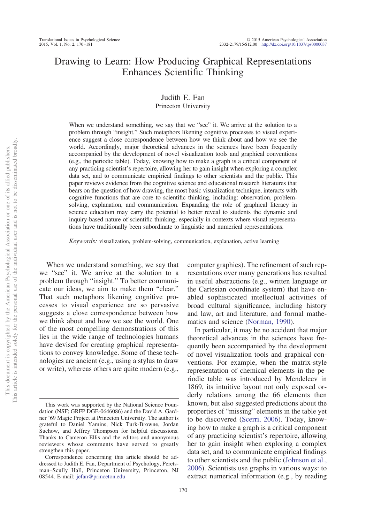# Drawing to Learn: How Producing Graphical Representations Enhances Scientific Thinking

# Judith E. Fan

## Princeton University

When we understand something, we say that we "see" it. We arrive at the solution to a problem through "insight." Such metaphors likening cognitive processes to visual experience suggest a close correspondence between how we think about and how we see the world. Accordingly, major theoretical advances in the sciences have been frequently accompanied by the development of novel visualization tools and graphical conventions (e.g., the periodic table). Today, knowing how to make a graph is a critical component of any practicing scientist's repertoire, allowing her to gain insight when exploring a complex data set, and to communicate empirical findings to other scientists and the public. This paper reviews evidence from the cognitive science and educational research literatures that bears on the question of how drawing, the most basic visualization technique, interacts with cognitive functions that are core to scientific thinking, including: observation, problemsolving, explanation, and communication. Expanding the role of graphical literacy in science education may carry the potential to better reveal to students the dynamic and inquiry-based nature of scientific thinking, especially in contexts where visual representations have traditionally been subordinate to linguistic and numerical representations.

*Keywords:* visualization, problem-solving, communication, explanation, active learning

When we understand something, we say that we "see" it. We arrive at the solution to a problem through "insight." To better communicate our ideas, we aim to make them "clear." That such metaphors likening cognitive processes to visual experience are so pervasive suggests a close correspondence between how we think about and how we see the world. One of the most compelling demonstrations of this lies in the wide range of technologies humans have devised for creating graphical representations to convey knowledge. Some of these technologies are ancient (e.g., using a stylus to draw or write), whereas others are quite modern (e.g., computer graphics). The refinement of such representations over many generations has resulted in useful abstractions (e.g., written language or the Cartesian coordinate system) that have enabled sophisticated intellectual activities of broad cultural significance, including history and law, art and literature, and formal mathematics and science (Norman, 1990).

In particular, it may be no accident that major theoretical advances in the sciences have frequently been accompanied by the development of novel visualization tools and graphical conventions. For example, when the matrix-style representation of chemical elements in the periodic table was introduced by Mendeleev in 1869, its intuitive layout not only exposed orderly relations among the 66 elements then known, but also suggested predictions about the properties of "missing" elements in the table yet to be discovered (Scerri, 2006). Today, knowing how to make a graph is a critical component of any practicing scientist's repertoire, allowing her to gain insight when exploring a complex data set, and to communicate empirical findings to other scientists and the public (Johnson et al., 2006). Scientists use graphs in various ways: to extract numerical information (e.g., by reading

This work was supported by the National Science Foundation (NSF; GRFP DGE-0646086) and the David A. Gardner '69 Magic Project at Princeton University. The author is grateful to Daniel Yamins, Nick Turk-Browne, Jordan Suchow, and Jeffrey Thompson for helpful discussions. Thanks to Cameron Ellis and the editors and anonymous reviewers whose comments have served to greatly strengthen this paper.

Correspondence concerning this article should be addressed to Judith E. Fan, Department of Psychology, Peretsman–Scully Hall, Princeton University, Princeton, NJ 08544. E-mail: [jefan@princeton.edu](mailto:jefan@princeton.edu)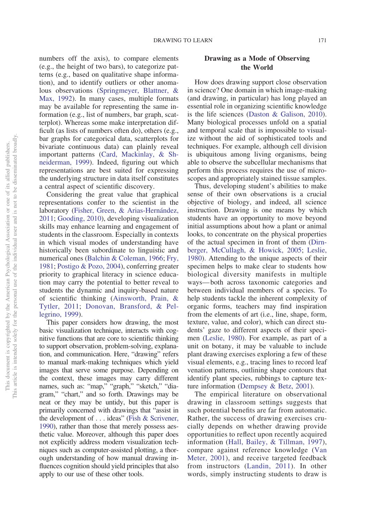numbers off the axis), to compare elements (e.g., the height of two bars), to categorize patterns (e.g., based on qualitative shape information), and to identify outliers or other anomalous observations (Springmeyer, Blattner, & Max, 1992). In many cases, multiple formats may be available for representing the same information (e.g., list of numbers, bar graph, scatterplot). Whereas some make interpretation difficult (as lists of numbers often do), others (e.g., bar graphs for categorical data, scatterplots for bivariate continuous data) can plainly reveal important patterns (Card, Mackinlay, & Shneiderman, 1999). Indeed, figuring out which representations are best suited for expressing the underlying structure in data itself constitutes a central aspect of scientific discovery.

Considering the great value that graphical representations confer to the scientist in the laboratory (Fisher, Green, & Arias-Hernández, 2011; Gooding, 2010), developing visualization skills may enhance learning and engagement of students in the classroom. Especially in contexts in which visual modes of understanding have historically been subordinate to linguistic and numerical ones (Balchin & Coleman, 1966; Fry, 1981; Postigo & Pozo, 2004), conferring greater priority to graphical literacy in science education may carry the potential to better reveal to students the dynamic and inquiry-based nature of scientific thinking (Ainsworth, Prain, & Tytler, 2011; Donovan, Bransford, & Pellegrino, 1999).

This paper considers how drawing, the most basic visualization technique, interacts with cognitive functions that are core to scientific thinking to support observation, problem-solving, explanation, and communication. Here, "drawing" refers to manual mark-making techniques which yield images that serve some purpose. Depending on the context, these images may carry different names, such as: "map," "graph," "sketch," "diagram," "chart," and so forth. Drawings may be neat or they may be untidy, but this paper is primarily concerned with drawings that "assist in the development of... ideas" (Fish & Scrivener, 1990), rather than those that merely possess aesthetic value. Moreover, although this paper does not explicitly address modern visualization techniques such as computer-assisted plotting, a thorough understanding of how manual drawing influences cognition should yield principles that also apply to our use of these other tools.

### **Drawing as a Mode of Observing the World**

How does drawing support close observation in science? One domain in which image-making (and drawing, in particular) has long played an essential role in organizing scientific knowledge is the life sciences (Daston & Galison, 2010). Many biological processes unfold on a spatial and temporal scale that is impossible to visualize without the aid of sophisticated tools and techniques. For example, although cell division is ubiquitous among living organisms, being able to observe the subcellular mechanisms that perform this process requires the use of microscopes and appropriately stained tissue samples.

Thus, developing student's abilities to make sense of their own observations is a crucial objective of biology, and indeed, all science instruction. Drawing is one means by which students have an opportunity to move beyond initial assumptions about how a plant or animal looks, to concentrate on the physical properties of the actual specimen in front of them (Dirnberger, McCullagh, & Howick, 2005; Leslie, 1980). Attending to the unique aspects of their specimen helps to make clear to students how biological diversity manifests in multiple ways— both across taxonomic categories and between individual members of a species. To help students tackle the inherent complexity of organic forms, teachers may find inspiration from the elements of art (i.e., line, shape, form, texture, value, and color), which can direct students' gaze to different aspects of their specimen (Leslie, 1980). For example, as part of a unit on botany, it may be valuable to include plant drawing exercises exploring a few of these visual elements, e.g., tracing lines to record leaf venation patterns, outlining shape contours that identify plant species, rubbings to capture texture information (Dempsey & Betz, 2001).

The empirical literature on observational drawing in classroom settings suggests that such potential benefits are far from automatic. Rather, the success of drawing exercises crucially depends on whether drawing provide opportunities to reflect upon recently acquired information (Hall, Bailey, & Tillman, 1997), compare against reference knowledge (Van Meter, 2001), and receive targeted feedback from instructors (Landin, 2011). In other words, simply instructing students to draw is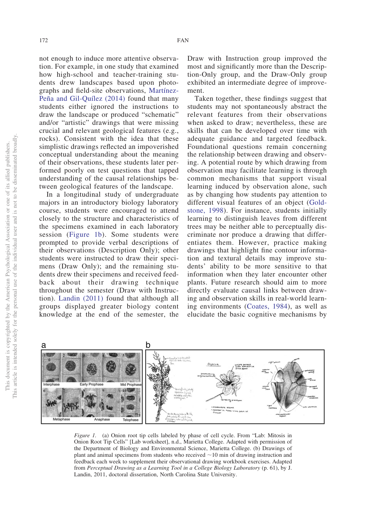not enough to induce more attentive observation. For example, in one study that examined how high-school and teacher-training students drew landscapes based upon photographs and field-site observations, Martínez-Peña and Gil-Quílez (2014) found that many students either ignored the instructions to draw the landscape or produced "schematic" and/or "artistic" drawings that were missing crucial and relevant geological features (e.g., rocks). Consistent with the idea that these simplistic drawings reflected an impoverished conceptual understanding about the meaning of their observations, these students later performed poorly on test questions that tapped understanding of the causal relationships between geological features of the landscape.

In a longitudinal study of undergraduate majors in an introductory biology laboratory course, students were encouraged to attend closely to the structure and characteristics of the specimens examined in each laboratory session (Figure 1b). Some students were prompted to provide verbal descriptions of their observations (Description Only); other students were instructed to draw their specimens (Draw Only); and the remaining students drew their specimens and received feedback about their drawing technique throughout the semester (Draw with Instruction). Landin (2011) found that although all groups displayed greater biology content knowledge at the end of the semester, the Draw with Instruction group improved the most and significantly more than the Description-Only group, and the Draw-Only group exhibited an intermediate degree of improvement.

Taken together, these findings suggest that students may not spontaneously abstract the relevant features from their observations when asked to draw; nevertheless, these are skills that can be developed over time with adequate guidance and targeted feedback. Foundational questions remain concerning the relationship between drawing and observing. A potential route by which drawing from observation may facilitate learning is through common mechanisms that support visual learning induced by observation alone, such as by changing how students pay attention to different visual features of an object (Goldstone, 1998). For instance, students initially learning to distinguish leaves from different trees may be neither able to perceptually discriminate nor produce a drawing that differentiates them. However, practice making drawings that highlight fine contour information and textural details may improve students' ability to be more sensitive to that information when they later encounter other plants. Future research should aim to more directly evaluate causal links between drawing and observation skills in real-world learning environments (Coates, 1984), as well as elucidate the basic cognitive mechanisms by



*Figure 1.* (a) Onion root tip cells labeled by phase of cell cycle. From "Lab: Mitosis in Onion Root Tip Cells" [Lab worksheet], n.d., Marietta College. Adapted with permission of the Department of Biology and Environmental Science, Marietta College. (b) Drawings of plant and animal specimens from students who received  $\sim$  10 min of drawing instruction and feedback each week to supplement their observational drawing workbook exercises. Adapted from *Perceptual Drawing as a Learning Tool in a College Biology Laboratory* (p. 61), by J. Landin, 2011, doctoral dissertation, North Carolina State University.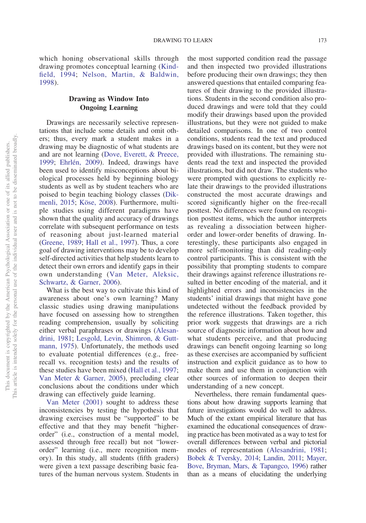which honing observational skills through drawing promotes conceptual learning (Kindfield, 1994; Nelson, Martin, & Baldwin, 1998).

## **Drawing as Window Into Ongoing Learning**

Drawings are necessarily selective representations that include some details and omit others; thus, every mark a student makes in a drawing may be diagnostic of what students are and are not learning (Dove, Everett, & Preece, 1999; Ehrlén, 2009). Indeed, drawings have been used to identify misconceptions about biological processes held by beginning biology students as well as by student teachers who are poised to begin teaching biology classes (Dikmenli, 2015; Köse, 2008). Furthermore, multiple studies using different paradigms have shown that the quality and accuracy of drawings correlate with subsequent performance on tests of reasoning about just-learned material (Greene, 1989; Hall et al., 1997). Thus, a core goal of drawing interventions may be to develop self-directed activities that help students learn to detect their own errors and identify gaps in their own understanding (Van Meter, Aleksic, Schwartz, & Garner, 2006).

What is the best way to cultivate this kind of awareness about one's own learning? Many classic studies using drawing manipulations have focused on assessing how to strengthen reading comprehension, usually by soliciting either verbal paraphrases or drawings (Alesandrini, 1981; Lesgold, Levin, Shimron, & Guttmann, 1975). Unfortunately, the methods used to evaluate potential differences (e.g., freerecall vs. recognition tests) and the results of these studies have been mixed (Hall et al., 1997; Van Meter & Garner, 2005), precluding clear conclusions about the conditions under which drawing can effectively guide learning.

Van Meter (2001) sought to address these inconsistencies by testing the hypothesis that drawing exercises must be "supported" to be effective and that they may benefit "higherorder" (i.e., construction of a mental model, assessed through free recall) but not "lowerorder" learning (i.e., mere recognition memory). In this study, all students (fifth graders) were given a text passage describing basic features of the human nervous system. Students in

the most supported condition read the passage and then inspected two provided illustrations before producing their own drawings; they then answered questions that entailed comparing features of their drawing to the provided illustrations. Students in the second condition also produced drawings and were told that they could modify their drawings based upon the provided illustrations, but they were not guided to make detailed comparisons. In one of two control conditions, students read the text and produced drawings based on its content, but they were not provided with illustrations. The remaining students read the text and inspected the provided illustrations, but did not draw. The students who were prompted with questions to explicitly relate their drawings to the provided illustrations constructed the most accurate drawings and scored significantly higher on the free-recall posttest. No differences were found on recognition posttest items, which the author interprets as revealing a dissociation between higherorder and lower-order benefits of drawing. Interestingly, these participants also engaged in more self-monitoring than did reading-only control participants. This is consistent with the possibility that prompting students to compare their drawings against reference illustrations resulted in better encoding of the material, and it highlighted errors and inconsistencies in the students' initial drawings that might have gone undetected without the feedback provided by the reference illustrations. Taken together, this prior work suggests that drawings are a rich source of diagnostic information about how and what students perceive, and that producing drawings can benefit ongoing learning so long as these exercises are accompanied by sufficient instruction and explicit guidance as to how to make them and use them in conjunction with other sources of information to deepen their understanding of a new concept.

Nevertheless, there remain fundamental questions about how drawing supports learning that future investigations would do well to address. Much of the extant empirical literature that has examined the educational consequences of drawing practice has been motivated as a way to test for overall differences between verbal and pictorial modes of representation (Alesandrini, 1981; Bobek & Tversky, 2014; Landin, 2011; Mayer, Bove, Bryman, Mars, & Tapangco, 1996) rather than as a means of elucidating the underlying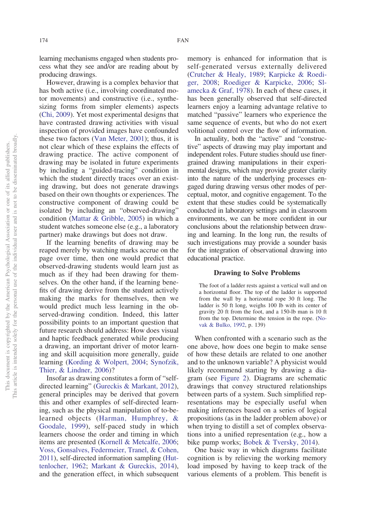learning mechanisms engaged when students process what they see and/or are reading about by producing drawings.

However, drawing is a complex behavior that has both active (i.e., involving coordinated motor movements) and constructive (i.e., synthesizing forms from simpler elements) aspects (Chi, 2009). Yet most experimental designs that have contrasted drawing activities with visual inspection of provided images have confounded these two factors (Van Meter, 2001); thus, it is not clear which of these explains the effects of drawing practice. The active component of drawing may be isolated in future experiments by including a "guided-tracing" condition in which the student directly traces over an existing drawing, but does not generate drawings based on their own thoughts or experiences. The constructive component of drawing could be isolated by including an "observed-drawing" condition (Mattar & Gribble, 2005) in which a student watches someone else (e.g., a laboratory partner) make drawings but does not draw.

If the learning benefits of drawing may be reaped merely by watching marks accrue on the page over time, then one would predict that observed-drawing students would learn just as much as if they had been drawing for themselves. On the other hand, if the learning benefits of drawing derive from the student actively making the marks for themselves, then we would predict much less learning in the observed-drawing condition. Indeed, this latter possibility points to an important question that future research should address: How does visual and haptic feedback generated while producing a drawing, an important driver of motor learning and skill acquisition more generally, guide learning (Kording & Wolpert, 2004; Synofzik, Thier, & Lindner, 2006)?

Insofar as drawing constitutes a form of "selfdirected learning" (Gureckis & Markant, 2012), general principles may be derived that govern this and other examples of self-directed learning, such as the physical manipulation of to-belearned objects (Harman, Humphrey, & Goodale, 1999), self-paced study in which learners choose the order and timing in which items are presented (Kornell & Metcalfe, 2006; Voss, Gonsalves, Federmeier, Tranel, & Cohen, 2011), self-directed information sampling (Huttenlocher, 1962; Markant & Gureckis, 2014), and the generation effect, in which subsequent

memory is enhanced for information that is self-generated versus externally delivered (Crutcher & Healy, 1989; Karpicke & Roediger, 2008; Roediger & Karpicke, 2006; Slamecka & Graf, 1978). In each of these cases, it has been generally observed that self-directed learners enjoy a learning advantage relative to matched "passive" learners who experience the same sequence of events, but who do not exert volitional control over the flow of information.

In actuality, both the "active" and "constructive" aspects of drawing may play important and independent roles. Future studies should use finergrained drawing manipulations in their experimental designs, which may provide greater clarity into the nature of the underlying processes engaged during drawing versus other modes of perceptual, motor, and cognitive engagement. To the extent that these studies could be systematically conducted in laboratory settings and in classroom environments, we can be more confident in our conclusions about the relationship between drawing and learning. In the long run, the results of such investigations may provide a sounder basis for the integration of observational drawing into educational practice.

#### **Drawing to Solve Problems**

The foot of a ladder rests against a vertical wall and on a horizontal floor. The top of the ladder is supported from the wall by a horizontal rope 30 ft long. The ladder is 50 ft long, weighs 100 lb with its center of gravity 20 ft from the foot, and a 150-lb man is 10 ft from the top. Determine the tension in the rope. (Novak & Bulko, 1992, p. 139)

When confronted with a scenario such as the one above, how does one begin to make sense of how these details are related to one another and to the unknown variable? A physicist would likely recommend starting by drawing a diagram (see Figure 2). Diagrams are schematic drawings that convey structured relationships between parts of a system. Such simplified representations may be especially useful when making inferences based on a series of logical propositions (as in the ladder problem above) or when trying to distill a set of complex observations into a unified representation (e.g., how a bike pump works; Bobek & Tversky, 2014).

One basic way in which diagrams facilitate cognition is by relieving the working memory load imposed by having to keep track of the various elements of a problem. This benefit is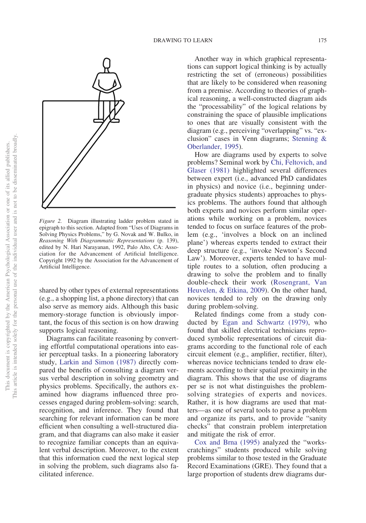

*Figure 2.* Diagram illustrating ladder problem stated in epigraph to this section. Adapted from "Uses of Diagrams in Solving Physics Problems," by G. Novak and W. Bulko, in *Reasoning With Diagrammatic Representations* (p. 139), edited by N. Hari Narayanan, 1992, Palo Alto, CA: Association for the Advancement of Artificial Intelligence. Copyright 1992 by the Association for the Advancement of Artificial Intelligence.

shared by other types of external representations (e.g., a shopping list, a phone directory) that can also serve as memory aids. Although this basic memory-storage function is obviously important, the focus of this section is on how drawing supports logical reasoning.

Diagrams can facilitate reasoning by converting effortful computational operations into easier perceptual tasks. In a pioneering laboratory study, Larkin and Simon (1987) directly compared the benefits of consulting a diagram versus verbal description in solving geometry and physics problems. Specifically, the authors examined how diagrams influenced three processes engaged during problem-solving: search, recognition, and inference. They found that searching for relevant information can be more efficient when consulting a well-structured diagram, and that diagrams can also make it easier to recognize familiar concepts than an equivalent verbal description. Moreover, to the extent that this information cued the next logical step in solving the problem, such diagrams also facilitated inference.

Another way in which graphical representations can support logical thinking is by actually restricting the set of (erroneous) possibilities that are likely to be considered when reasoning from a premise. According to theories of graphical reasoning, a well-constructed diagram aids the "processability" of the logical relations by constraining the space of plausible implications to ones that are visually consistent with the diagram (e.g., perceiving "overlapping" vs. "exclusion" cases in Venn diagrams; Stenning & Oberlander, 1995).

How are diagrams used by experts to solve problems? Seminal work by Chi, Feltovich, and Glaser (1981) highlighted several differences between expert (i.e., advanced PhD candidates in physics) and novice (i.e., beginning undergraduate physics students) approaches to physics problems. The authors found that although both experts and novices perform similar operations while working on a problem, novices tended to focus on surface features of the problem (e.g., 'involves a block on an inclined plane') whereas experts tended to extract their deep structure (e.g., 'invoke Newton's Second Law'). Moreover, experts tended to have multiple routes to a solution, often producing a drawing to solve the problem and to finally double-check their work (Rosengrant, Van Heuvelen, & Etkina, 2009). On the other hand, novices tended to rely on the drawing only during problem-solving.

Related findings come from a study conducted by Egan and Schwartz (1979), who found that skilled electrical technicians reproduced symbolic representations of circuit diagrams according to the functional role of each circuit element (e.g., amplifier, rectifier, filter), whereas novice technicians tended to draw elements according to their spatial proximity in the diagram. This shows that the use of diagrams per se is not what distinguishes the problemsolving strategies of experts and novices. Rather, it is how diagrams are used that matters—as one of several tools to parse a problem and organize its parts, and to provide "sanity checks" that constrain problem interpretation and mitigate the risk of error.

Cox and Brna (1995) analyzed the "workscratchings" students produced while solving problems similar to those tested in the Graduate Record Examinations (GRE). They found that a large proportion of students drew diagrams dur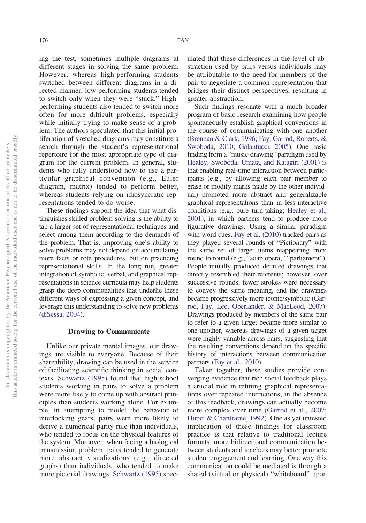ing the test, sometimes multiple diagrams at different stages in solving the same problem. However, whereas high-performing students switched between different diagrams in a directed manner, low-performing students tended to switch only when they were "stuck." Highperforming students also tended to switch more often for more difficult problems, especially while initially trying to make sense of a problem. The authors speculated that this initial proliferation of sketched diagrams may constitute a search through the student's representational repertoire for the most appropriate type of diagram for the current problem. In general, students who fully understood how to use a particular graphical convention (e.g., Euler diagram, matrix) tended to perform better, whereas students relying on idiosyncratic representations tended to do worse.

These findings support the idea that what distinguishes skilled problem-solving is the ability to tap a larger set of representational techniques and select among them according to the demands of the problem. That is, improving one's ability to solve problems may not depend on accumulating more facts or rote procedures, but on practicing representational skills. In the long run, greater integration of symbolic, verbal, and graphical representations in science curricula may help students grasp the deep commonalities that underlie these different ways of expressing a given concept, and leverage this understanding to solve new problems (diSessa, 2004).

#### **Drawing to Communicate**

Unlike our private mental images, our drawings are visible to everyone. Because of their shareability, drawing can be used in the service of facilitating scientific thinking in social contexts. Schwartz (1995) found that high-school students working in pairs to solve a problem were more likely to come up with abstract principles than students working alone. For example, in attempting to model the behavior of interlocking gears, pairs were more likely to derive a numerical parity rule than individuals, who tended to focus on the physical features of the system. Moreover, when facing a biological transmission problem, pairs tended to generate more abstract visualizations (e.g., directed graphs) than individuals, who tended to make more pictorial drawings. Schwartz (1995) speculated that these differences in the level of abstraction used by pairs versus individuals may be attributable to the need for members of the pair to negotiate a common representation that bridges their distinct perspectives, resulting in greater abstraction.

Such findings resonate with a much broader program of basic research examining how people spontaneously establish graphical conventions in the course of communicating with one another (Brennan & Clark, 1996; Fay, Garrod, Roberts, & Swoboda, 2010; Galantucci, 2005). One basic finding from a "music-drawing" paradigm used by Healey, Swoboda, Umata, and Katagiri (2001) is that enabling real-time interaction between participants (e.g., by allowing each pair member to erase or modify marks made by the other individual) promoted more abstract and generalizable graphical representations than in less-interactive conditions (e.g., pure turn-taking; Healey et al., 2001), in which partners tend to produce more figurative drawings. Using a similar paradigm with word cues, Fay et al. (2010) tracked pairs as they played several rounds of "Pictionary" with the same set of target items reappearing from round to round (e.g., "soap opera," "parliament"). People initially produced detailed drawings that directly resembled their referents; however, over successive rounds, fewer strokes were necessary to convey the same meaning, and the drawings became progressively more iconic/symbolic (Garrod, Fay, Lee, Oberlander, & MacLeod, 2007). Drawings produced by members of the same pair to refer to a given target became more similar to one another, whereas drawings of a given target were highly variable across pairs, suggesting that the resulting conventions depend on the specific history of interactions between communication partners (Fay et al., 2010).

Taken together, these studies provide converging evidence that rich social feedback plays a crucial role in refining graphical representations over repeated interactions; in the absence of this feedback, drawings can actually become more complex over time (Garrod et al., 2007; Hupet & Chantraine, 1992). One as yet untested implication of these findings for classroom practice is that relative to traditional lecture formats, more bidirectional communication between students and teachers may better promote student engagement and learning. One way this communication could be mediated is through a shared (virtual or physical) "whiteboard" upon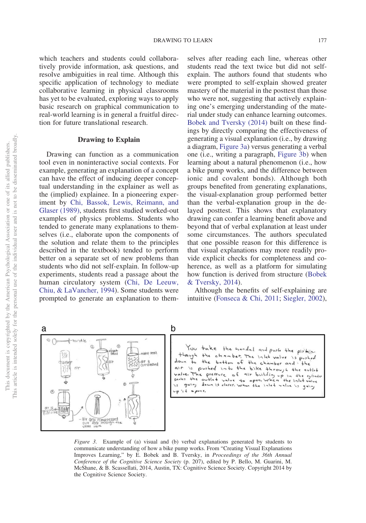which teachers and students could collaboratively provide information, ask questions, and resolve ambiguities in real time. Although this specific application of technology to mediate collaborative learning in physical classrooms has yet to be evaluated, exploring ways to apply basic research on graphical communication to real-world learning is in general a fruitful direction for future translational research.

### **Drawing to Explain**

Drawing can function as a communication tool even in noninteractive social contexts. For example, generating an explanation of a concept can have the effect of inducing deeper conceptual understanding in the explainer as well as the (implied) explainee. In a pioneering experiment by Chi, Bassok, Lewis, Reimann, and Glaser (1989), students first studied worked-out examples of physics problems. Students who tended to generate many explanations to themselves (i.e., elaborate upon the components of the solution and relate them to the principles described in the textbook) tended to perform better on a separate set of new problems than students who did not self-explain. In follow-up experiments, students read a passage about the human circulatory system (Chi, De Leeuw, Chiu, & LaVancher, 1994). Some students were prompted to generate an explanation to them-

selves after reading each line, whereas other students read the text twice but did not selfexplain. The authors found that students who were prompted to self-explain showed greater mastery of the material in the posttest than those who were not, suggesting that actively explaining one's emerging understanding of the material under study can enhance learning outcomes. Bobek and Tversky (2014) built on these findings by directly comparing the effectiveness of generating a visual explanation (i.e., by drawing a diagram, Figure 3a) versus generating a verbal one (i.e., writing a paragraph, Figure 3b) when learning about a natural phenomenon (i.e., how a bike pump works, and the difference between ionic and covalent bonds). Although both groups benefited from generating explanations, the visual-explanation group performed better than the verbal-explanation group in the delayed posttest. This shows that explanatory drawing can confer a learning benefit above and beyond that of verbal explanation at least under some circumstances. The authors speculated that one possible reason for this difference is that visual explanations may more readily provide explicit checks for completeness and coherence, as well as a platform for simulating how function is derived from structure (Bobek & Tversky, 2014).

Although the benefits of self-explaining are intuitive (Fonseca & Chi, 2011; Siegler, 2002),



You the handel and push the pistic take chanber. The inlet valve is pushed  $+$ hnough  $+he$  $+h_{c}$ bottom of the chamber and  $\ddot{+}$  $the$ pushed into the bike through the outlet  $\cdot$ of air building up in the cylinder<br>we to open when the inlet value valve. The pressure Favies the  $H(e +$ valve down lit eloses. When the inlet valve is going  $9012$  $i +$  opens. . p

*Figure 3.* Example of (a) visual and (b) verbal explanations generated by students to communicate understanding of how a bike pump works. From "Creating Visual Explanations Improves Learning," by E. Bobek and B. Tversky, in *Proceedings of the 36th Annual Conference of the Cognitive Science Society* (p. 207), edited by P. Bello, M. Guarini, M. McShane, & B. Scassellati, 2014, Austin, TX: Cognitive Science Society. Copyright 2014 by the Cognitive Science Society.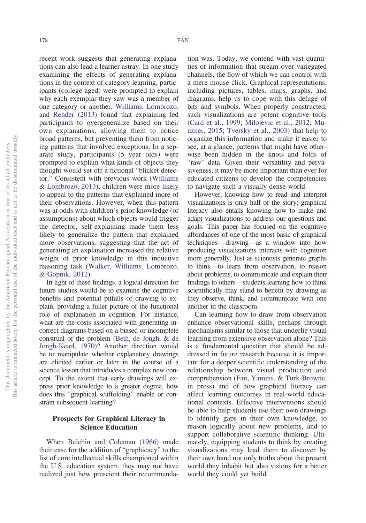recent work suggests that generating explanations can also lead a learner astray. In one study examining the effects of generating explanations in the context of category learning, participants (college-aged) were prompted to explain why each exemplar they saw was a member of one category or another. Williams, Lombrozo, and Rehder (2013) found that explaining led participants to overgeneralize based on their own explanations, allowing them to notice broad patterns, but preventing them from noticing patterns that involved exceptions. In a separate study, participants (5 year olds) were prompted to explain what kinds of objects they thought would set off a fictional "blicket detector." Consistent with previous work (Williams & Lombrozo, 2013), children were more likely to appeal to the patterns that explained more of their observations. However, when this pattern was at odds with children's prior knowledge (or assumptions) about which objects would trigger the detector, self-explaining made them less likely to generalize the pattern that explained more observations, suggesting that the act of generating an explanation increased the relative weight of prior knowledge in this inductive reasoning task (Walker, Williams, Lombrozo, & Gopnik, 2012).

In light of these findings, a logical direction for future studies would be to examine the cognitive benefits and potential pitfalls of drawing to explain, providing a fuller picture of the functional role of explanation in cognition. For instance, what are the costs associated with generating incorrect diagrams based on a biased or incomplete construal of the problem (Beth, de Jongh, & de Jongh-Kearl, 1970)? Another direction would be to manipulate whether explanatory drawings are elicited earlier or later in the course of a science lesson that introduces a complex new concept. To the extent that early drawings will express prior knowledge to a greater degree, how does this "graphical scaffolding" enable or constrain subsequent learning?

## **Prospects for Graphical Literacy in Science Education**

When Balchin and Coleman (1966) made their case for the addition of "graphicacy" to the list of core intellectual skills championed within the U.S. education system, they may not have realized just how prescient their recommendation was. Today, we contend with vast quantities of information that stream over variegated channels, the flow of which we can control with a mere mouse click. Graphical representations, including pictures, tables, maps, graphs, and diagrams, help us to cope with this deluge of bits and symbols. When properly constructed, such visualizations are potent cognitive tools (Card et al., 1999; Milojevic et al., 2012; Munzner, 2015; Tversky et al., 2003) that help to organize this information and make it easier to see, at a glance, patterns that might have otherwise been hidden in the knots and folds of "raw" data. Given their versatility and pervasiveness, it may be more important than ever for educated citizens to develop the competencies to navigate such a visually dense world.

However, knowing how to read and interpret visualizations is only half of the story; graphical literacy also entails knowing how to make and adapt visualizations to address our questions and goals. This paper has focused on the cognitive affordances of one of the most basic of graphical techniques— drawing—as a window into how producing visualizations interacts with cognition more generally. Just as scientists generate graphs to think—to learn from observation, to reason about problems, to communicate and explain their findings to others—students learning how to think scientifically may stand to benefit by drawing as they observe, think, and communicate with one another in the classroom.

Can learning how to draw from observation enhance observational skills, perhaps through mechanisms similar to those that underlie visual learning from extensive observation alone? This is a fundamental question that should be addressed in future research because it is important for a deeper scientific understanding of the relationship between visual production and comprehension (Fan, Yamins, & Turk-Browne, in press) and of how graphical literacy can affect learning outcomes in real-world educational contexts. Effective interventions should be able to help students use their own drawings to identify gaps in their own knowledge, to reason logically about new problems, and to support collaborative scientific thinking. Ultimately, equipping students to think by creating visualizations may lead them to discover by their own hand not only truths about the present world they inhabit but also visions for a better world they could yet build.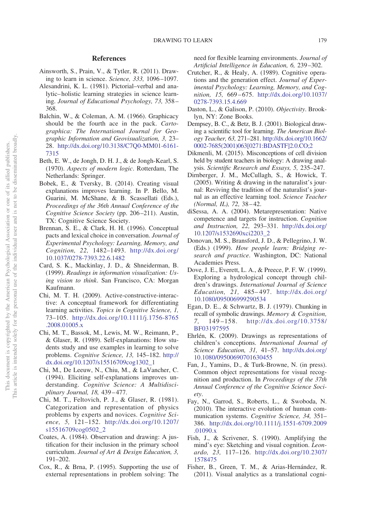#### **References**

- Ainsworth, S., Prain, V., & Tytler, R. (2011). Drawing to learn in science. *Science, 333,* 1096 –1097.
- Alesandrini, K. L. (1981). Pictorial–verbal and analytic– holistic learning strategies in science learning. *Journal of Educational Psychology, 73,* 358 – 368.
- Balchin, W., & Coleman, A. M. (1966). Graphicacy should be the fourth ace in the pack. *Cartographica: The International Journal for Geographic Information and Geovisualization, 3,* 23– 28. [http://dx.doi.org/10.3138/C7Q0-MM01-6161-](http://dx.doi.org/10.3138/C7Q0-MM01-6161-7315) [7315](http://dx.doi.org/10.3138/C7Q0-MM01-6161-7315)
- Beth, E. W., de Jongh, D. H. J., & de Jongh-Kearl, S. (1970). *Aspects of modern logic*. Rotterdam, The Netherlands: Springer.
- Bobek, E., & Tversky, B. (2014). Creating visual explanations improves learning. In P. Bello, M. Guarini, M. McShane, & B. Scassellati (Eds.), *Proceedings of the 36th Annual Conference of the Cognitive Science Society* (pp. 206 –211). Austin, TX: Cognitive Science Society.
- Brennan, S. E., & Clark, H. H. (1996). Conceptual pacts and lexical choice in conversation. *Journal of Experimental Psychology: Learning, Memory, and Cognition, 22,* 1482–1493. [http://dx.doi.org/](http://dx.doi.org/10.1037/0278-7393.22.6.1482) [10.1037/0278-7393.22.6.1482](http://dx.doi.org/10.1037/0278-7393.22.6.1482)
- Card, S. K., Mackinlay, J. D., & Shneiderman, B. (1999). *Readings in information visualization: Using vision to think*. San Francisco, CA: Morgan Kaufmann.
- Chi, M. T. H. (2009). Active-constructive-interactive: A conceptual framework for differentiating learning activities. *Topics in Cognitive Science, 1,* 73–105. [http://dx.doi.org/10.1111/j.1756-8765](http://dx.doi.org/10.1111/j.1756-8765.2008.01005.x) [.2008.01005.x](http://dx.doi.org/10.1111/j.1756-8765.2008.01005.x)
- Chi, M. T., Bassok, M., Lewis, M. W., Reimann, P., & Glaser, R. (1989). Self-explanations: How students study and use examples in learning to solve problems. *Cognitive Science, 13,* 145–182. [http://](http://dx.doi.org/10.1207/s15516709cog1302_1) [dx.doi.org/10.1207/s15516709cog1302\\_1](http://dx.doi.org/10.1207/s15516709cog1302_1)
- Chi, M., De Leeuw, N., Chiu, M., & LaVancher, C. (1994). Eliciting self-explanations improves understanding. *Cognitive Science: A Multidisciplinary Journal, 18,* 439 – 477.
- Chi, M. T., Feltovich, P. J., & Glaser, R. (1981). Categorization and representation of physics problems by experts and novices. *Cognitive Science, 5,* 121–152. [http://dx.doi.org/10.1207/](http://dx.doi.org/10.1207/s15516709cog0502_2) [s15516709cog0502\\_2](http://dx.doi.org/10.1207/s15516709cog0502_2)
- Coates, A. (1984). Observation and drawing: A justification for their inclusion in the primary school curriculum. *Journal of Art & Design Education, 3,* 191–202.
- Cox, R., & Brna, P. (1995). Supporting the use of external representations in problem solving: The

need for flexible learning environments. *Journal of Artificial Intelligence in Education, 6,* 239 –302.

- Crutcher, R., & Healy, A. (1989). Cognitive operations and the generation effect. *Journal of Experimental Psychology: Learning, Memory, and Cognition, 15,* 669 – 675. [http://dx.doi.org/10.1037/](http://dx.doi.org/10.1037/0278-7393.15.4.669) [0278-7393.15.4.669](http://dx.doi.org/10.1037/0278-7393.15.4.669)
- Daston, L., & Galison, P. (2010). *Objectivity*. Brooklyn, NY: Zone Books.
- Dempsey, B. C., & Betz, B. J. (2001). Biological drawing a scientific tool for learning. *The American Biology Teacher, 63,* 271–281. [http://dx.doi.org/10.1662/](http://dx.doi.org/10.1662/0002-7685%282001%29063%5B0271:BDASTF%5D2.0.CO;2) [0002-7685\(2001\)063\[0271:BDASTF\]2.0.CO;2](http://dx.doi.org/10.1662/0002-7685%282001%29063%5B0271:BDASTF%5D2.0.CO;2)
- Dikmenli, M. (2015). Misconceptions of cell division held by student teachers in biology: A drawing analysis. *Scientific Research and Essays, 5,* 235–247.
- Dirnberger, J. M., McCullagh, S., & Howick, T. (2005). Writing & drawing in the naturalist's journal: Reviving the tradition of the naturalist's journal as an effective learning tool. *Science Teacher (Normal, IL), 72,* 38 – 42.
- diSessa, A. A. (2004). Metarepresentation: Native competence and targets for instruction. *Cognition and Instruction, 22,* 293–331. [http://dx.doi.org/](http://dx.doi.org/10.1207/s1532690xci2203_2) [10.1207/s1532690xci2203\\_2](http://dx.doi.org/10.1207/s1532690xci2203_2)
- Donovan, M. S., Bransford, J. D., & Pellegrino, J. W. (Eds.) (1999). *How people learn: Bridging research and practice*. Washington, DC: National Academies Press.
- Dove, J. E., Everett, L. A., & Preece, P. F. W. (1999). Exploring a hydrological concept through children's drawings. *International Journal of Science Education, 21,* 485– 497. [http://dx.doi.org/](http://dx.doi.org/10.1080/095006999290534) [10.1080/095006999290534](http://dx.doi.org/10.1080/095006999290534)
- Egan, D. E., & Schwartz, B. J. (1979). Chunking in recall of symbolic drawings. *Memory & Cognition, 7,* 149 –158. [http://dx.doi.org/10.3758/](http://dx.doi.org/10.3758/BF03197595) [BF03197595](http://dx.doi.org/10.3758/BF03197595)
- Ehrlén, K. (2009). Drawings as representations of children's conceptions. *International Journal of Science Education, 31,* 41–57. [http://dx.doi.org/](http://dx.doi.org/10.1080/09500690701630455) [10.1080/09500690701630455](http://dx.doi.org/10.1080/09500690701630455)
- Fan, J., Yamins, D., & Turk-Browne, N. (in press). Common object representations for visual recognition and production. In *Proceedings of the 37th Annual Conference of the Cognitive Science Society*.
- Fay, N., Garrod, S., Roberts, L., & Swoboda, N. (2010). The interactive evolution of human communication systems. *Cognitive Science, 34,* 351– 386. [http://dx.doi.org/10.1111/j.1551-6709.2009](http://dx.doi.org/10.1111/j.1551-6709.2009.01090.x) [.01090.x](http://dx.doi.org/10.1111/j.1551-6709.2009.01090.x)
- Fish, J., & Scrivener, S. (1990). Amplifying the mind's eye: Sketching and visual cognition. *Leonardo, 23,* 117–126. [http://dx.doi.org/10.2307/](http://dx.doi.org/10.2307/1578475) [1578475](http://dx.doi.org/10.2307/1578475)
- Fisher, B., Green, T. M., & Arias-Hernández, R. (2011). Visual analytics as a translational cogni-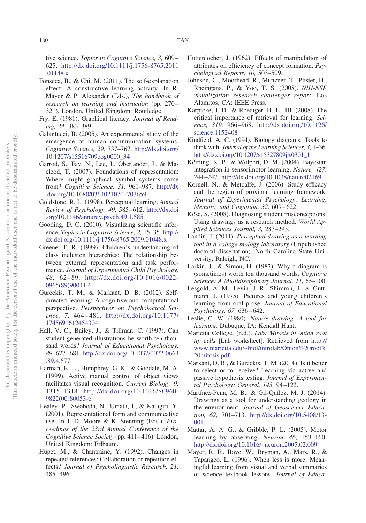tive science. *Topics in Cognitive Science, 3,* 609 – 625. [http://dx.doi.org/10.1111/j.1756-8765.2011](http://dx.doi.org/10.1111/j.1756-8765.2011.01148.x) [.01148.x](http://dx.doi.org/10.1111/j.1756-8765.2011.01148.x)

- Fonseca, B., & Chi, M. (2011). The self-explanation effect: A constructive learning activity. In R. Mayer & P. Alexander (Eds.), *The handbook of research on learning and instruction* (pp. 270– 321). London, United Kingdom: Routledge.
- Fry, E. (1981). Graphical literacy. *Journal of Reading, 24,* 383–389.
- Galantucci, B. (2005). An experimental study of the emergence of human communication systems. *Cognitive Science, 29,* 737–767. [http://dx.doi.org/](http://dx.doi.org/10.1207/s15516709cog0000_34) [10.1207/s15516709cog0000\\_34](http://dx.doi.org/10.1207/s15516709cog0000_34)
- Garrod, S., Fay, N., Lee, J., Oberlander, J., & Macleod, T. (2007). Foundations of representation: Where might graphical symbol systems come from? *Cognitive Science, 31,* 961–987. [http://dx](http://dx.doi.org/10.1080/03640210701703659) [.doi.org/10.1080/03640210701703659](http://dx.doi.org/10.1080/03640210701703659)
- Goldstone, R. L. (1998). Perceptual learning. *Annual Review of Psychology, 49,* 585– 612. [http://dx.doi](http://dx.doi.org/10.1146/annurev.psych.49.1.585) [.org/10.1146/annurev.psych.49.1.585](http://dx.doi.org/10.1146/annurev.psych.49.1.585)
- Gooding, D. C. (2010). Visualizing scientific inference. *Topics in Cognitive Science, 2,* 15–35. [http://](http://dx.doi.org/10.1111/j.1756-8765.2009.01048.x) [dx.doi.org/10.1111/j.1756-8765.2009.01048.x](http://dx.doi.org/10.1111/j.1756-8765.2009.01048.x)
- Greene, T. R. (1989). Children's understanding of class inclusion hierarchies: The relationship between external representation and task performance. *Journal of Experimental Child Psychology, 48,* 62– 89. [http://dx.doi.org/10.1016/0022-](http://dx.doi.org/10.1016/0022-0965%2889%2990041-6) [0965\(89\)90041-6](http://dx.doi.org/10.1016/0022-0965%2889%2990041-6)
- Gureckis, T. M., & Markant, D. B. (2012). Selfdirected learning: A cognitive and computational perspective. *Perspectives on Psychological Science, 7,* 464 – 481. [http://dx.doi.org/10.1177/](http://dx.doi.org/10.1177/1745691612454304) [1745691612454304](http://dx.doi.org/10.1177/1745691612454304)
- Hall, V. C., Bailey, J., & Tillman, C. (1997). Can student-generated illustrations be worth ten thousand words? *Journal of Educational Psychology, 89,* 677– 681. [http://dx.doi.org/10.1037/0022-0663](http://dx.doi.org/10.1037/0022-0663.89.4.677) [.89.4.677](http://dx.doi.org/10.1037/0022-0663.89.4.677)
- Harman, K. L., Humphrey, G. K., & Goodale, M. A. (1999). Active manual control of object views facilitates visual recognition. *Current Biology, 9,* 1315–1318. [http://dx.doi.org/10.1016/S0960-](http://dx.doi.org/10.1016/S0960-9822%2800%2980053-6) [9822\(00\)80053-6](http://dx.doi.org/10.1016/S0960-9822%2800%2980053-6)
- Healey, P., Swoboda, N., Umata, I., & Katagiri, Y. (2001). Representational form and communicative use. In J. D. Moore & K. Stenning (Eds.), *Proceedings of the 23rd Annual Conference of the* Cognitive Science Society (pp. 411-416). London, United Kingdom: Erlbaum.
- Hupet, M., & Chantraine, Y. (1992). Changes in repeated references: Collaboration or repetition effects? *Journal of Psycholinguistic Research, 21,* 485– 496.
- Huttenlocher, J. (1962). Effects of manipulation of attributes on efficiency of concept formation. *Psychological Reports, 10,* 503–509.
- Johnson, C., Moorhead, R., Munzner, T., Pfister, H., Rheingans, P., & Yoo, T. S. (2005). *NIH-NSF visualization research challenges report*. Los Alamitos, CA: IEEE Press.
- Karpicke, J. D., & Roediger, H. L., III. (2008). The critical importance of retrieval for learning. *Science, 319,* 966 –968. [http://dx.doi.org/10.1126/](http://dx.doi.org/10.1126/science.1152408) [science.1152408](http://dx.doi.org/10.1126/science.1152408)
- Kindfield, A. C. (1994). Biology diagrams: Tools to think with. *Journal of the Learning Sciences, 3,* 1–36. [http://dx.doi.org/10.1207/s15327809jls0301\\_1](http://dx.doi.org/10.1207/s15327809jls0301_1)
- Körding, K. P., & Wolpert, D. M. (2004). Bayesian integration in sensorimotor learning. *Nature, 427,* 244 –247. <http://dx.doi.org/10.1038/nature02169>
- Kornell, N., & Metcalfe, J. (2006). Study efficacy and the region of proximal learning framework. *Journal of Experimental Psychology: Learning, Memory, and Cognition, 32,* 609 – 622.
- Köse, S. (2008). Diagnosing student misconceptions: Using drawings as a research method. *World Applied Sciences Journal, 3,* 283–293.
- Landin, J. (2011). *Perceptual drawing as a learning tool in a college biology laboratory* (Unpublished doctoral dissertation). North Carolina State University, Raleigh, NC.
- Larkin, J., & Simon, H. (1987). Why a diagram is (sometimes) worth ten thousand words. *Cognitive Science: A Multidisciplinary Journal, 11,* 65–100.
- Lesgold, A. M., Levin, J. R., Shimron, J., & Guttmann, J. (1975). Pictures and young children's learning from oral prose. *Journal of Educational Psychology, 67,* 636 – 642.
- Leslie, C. W. (1980). *Nature drawing: A tool for learning*. Dubuque, IA: Kendall Hunt.
- Marietta College. (n.d.). *Lab: Mitosis in onion root tip cells* [Lab worksheet]. Retrieved from [http://](http://www.marietta.edu/%7Ebiol/introlab/Onion%20root%20mitosis.pdf) [www.marietta.edu/~biol/introlab/Onion%20root%](http://www.marietta.edu/%7Ebiol/introlab/Onion%20root%20mitosis.pdf) [20mitosis.pdf](http://www.marietta.edu/%7Ebiol/introlab/Onion%20root%20mitosis.pdf)
- Markant, D. B., & Gureckis, T. M. (2014). Is it better to select or to receive? Learning via active and passive hypothesis testing. *Journal of Experimental Psychology: General, 143,* 94 –122.
- Martínez-Peña, M. B., & Gil-Quílez, M. J. (2014). Drawings as a tool for understanding geology in the environment. *Journal of Geoscience Education, 62,* 701–713. [http://dx.doi.org/10.5408/13-](http://dx.doi.org/10.5408/13-001.1) [001.1](http://dx.doi.org/10.5408/13-001.1)
- Mattar, A. A. G., & Gribble, P. L. (2005). Motor learning by observing. *Neuron, 46,* 153–160. <http://dx.doi.org/10.1016/j.neuron.2005.02.009>
- Mayer, R. E., Bove, W., Bryman, A., Mars, R., & Tapangco, L. (1996). When less is more: Meaningful learning from visual and verbal summaries of science textbook lessons. *Journal of Educa-*